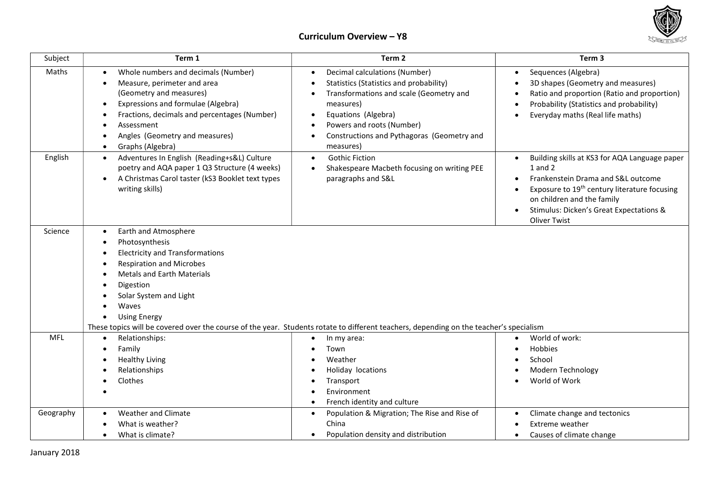

## Curriculum Overview – Y8

| Subject    | Term 1                                                                                                                                                                                                                                                                                                                                                                                              | Term 2                                                                                                                                                                                                                                          | Term <sub>3</sub>                                                                                                                                                                                                                                              |  |  |
|------------|-----------------------------------------------------------------------------------------------------------------------------------------------------------------------------------------------------------------------------------------------------------------------------------------------------------------------------------------------------------------------------------------------------|-------------------------------------------------------------------------------------------------------------------------------------------------------------------------------------------------------------------------------------------------|----------------------------------------------------------------------------------------------------------------------------------------------------------------------------------------------------------------------------------------------------------------|--|--|
| Maths      | Whole numbers and decimals (Number)<br>Measure, perimeter and area<br>$\bullet$<br>(Geometry and measures)<br>Expressions and formulae (Algebra)<br>٠<br>Fractions, decimals and percentages (Number)<br>Assessment<br>Angles (Geometry and measures)<br>Graphs (Algebra)<br>$\bullet$                                                                                                              | Decimal calculations (Number)<br>Statistics (Statistics and probability)<br>Transformations and scale (Geometry and<br>measures)<br>Equations (Algebra)<br>Powers and roots (Number)<br>Constructions and Pythagoras (Geometry and<br>measures) | Sequences (Algebra)<br>$\bullet$<br>3D shapes (Geometry and measures)<br>Ratio and proportion (Ratio and proportion)<br>Probability (Statistics and probability)<br>Everyday maths (Real life maths)                                                           |  |  |
| English    | Adventures In English (Reading+s&L) Culture<br>$\bullet$<br>poetry and AQA paper 1 Q3 Structure (4 weeks)<br>A Christmas Carol taster (kS3 Booklet text types<br>$\bullet$<br>writing skills)                                                                                                                                                                                                       | <b>Gothic Fiction</b><br>$\bullet$<br>Shakespeare Macbeth focusing on writing PEE<br>$\bullet$<br>paragraphs and S&L                                                                                                                            | Building skills at KS3 for AQA Language paper<br>$1$ and $2$<br>Frankenstein Drama and S&L outcome<br>Exposure to 19 <sup>th</sup> century literature focusing<br>on children and the family<br>Stimulus: Dicken's Great Expectations &<br><b>Oliver Twist</b> |  |  |
| Science    | Earth and Atmosphere<br>$\bullet$<br>Photosynthesis<br>$\bullet$<br><b>Electricity and Transformations</b><br><b>Respiration and Microbes</b><br><b>Metals and Earth Materials</b><br>Digestion<br>Solar System and Light<br>Waves<br><b>Using Energy</b><br>These topics will be covered over the course of the year. Students rotate to different teachers, depending on the teacher's specialism |                                                                                                                                                                                                                                                 |                                                                                                                                                                                                                                                                |  |  |
| <b>MFL</b> | Relationships:<br>$\bullet$<br>Family<br><b>Healthy Living</b><br>Relationships<br>Clothes                                                                                                                                                                                                                                                                                                          | In my area:<br>Town<br>Weather<br>Holiday locations<br>Transport<br>Environment<br>French identity and culture                                                                                                                                  | World of work:<br>Hobbies<br>School<br>Modern Technology<br>World of Work                                                                                                                                                                                      |  |  |
| Geography  | Weather and Climate<br>What is weather?<br>What is climate?                                                                                                                                                                                                                                                                                                                                         | Population & Migration; The Rise and Rise of<br>$\bullet$<br>China<br>Population density and distribution                                                                                                                                       | Climate change and tectonics<br>Extreme weather<br>Causes of climate change<br>$\bullet$                                                                                                                                                                       |  |  |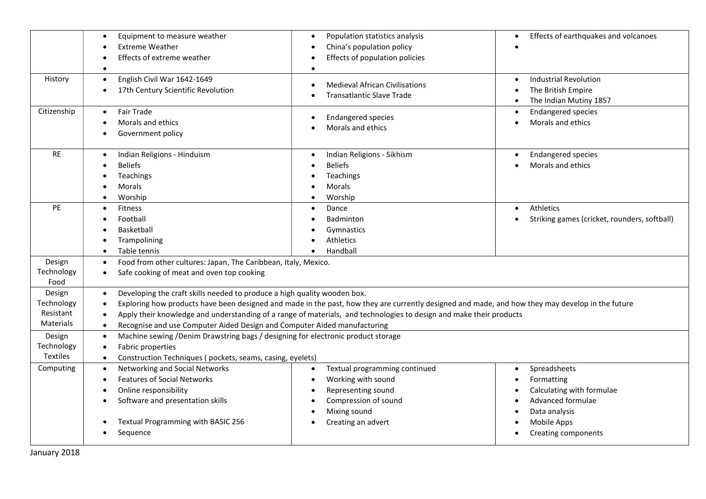|                                                                        | Equipment to measure weather<br>$\bullet$<br><b>Extreme Weather</b><br>Effects of extreme weather                                                                                                                                                                                                                                                                                                                                                                                                                                                                                            | Population statistics analysis<br>$\bullet$<br>China's population policy<br>Effects of population policies | Effects of earthquakes and volcanoes                                                                                |  |  |  |
|------------------------------------------------------------------------|----------------------------------------------------------------------------------------------------------------------------------------------------------------------------------------------------------------------------------------------------------------------------------------------------------------------------------------------------------------------------------------------------------------------------------------------------------------------------------------------------------------------------------------------------------------------------------------------|------------------------------------------------------------------------------------------------------------|---------------------------------------------------------------------------------------------------------------------|--|--|--|
| History                                                                | English Civil War 1642-1649<br>$\bullet$<br>17th Century Scientific Revolution                                                                                                                                                                                                                                                                                                                                                                                                                                                                                                               | <b>Medieval African Civilisations</b><br><b>Transatlantic Slave Trade</b>                                  | <b>Industrial Revolution</b><br>The British Empire<br>The Indian Mutiny 1857                                        |  |  |  |
| Citizenship                                                            | <b>Fair Trade</b><br>$\bullet$<br>Morals and ethics<br>Government policy                                                                                                                                                                                                                                                                                                                                                                                                                                                                                                                     | <b>Endangered species</b><br>Morals and ethics                                                             | <b>Endangered species</b><br>Morals and ethics<br>$\bullet$                                                         |  |  |  |
| <b>RE</b>                                                              | Indian Religions - Hinduism<br><b>Beliefs</b><br>Teachings<br>Morals<br>Worship                                                                                                                                                                                                                                                                                                                                                                                                                                                                                                              | Indian Religions - Sikhism<br>$\bullet$<br><b>Beliefs</b><br>Teachings<br>Morals<br>Worship                | <b>Endangered species</b><br>Morals and ethics                                                                      |  |  |  |
| <b>PE</b>                                                              | <b>Fitness</b><br>Football<br>Basketball<br>Trampolining<br>Table tennis<br>$\bullet$                                                                                                                                                                                                                                                                                                                                                                                                                                                                                                        | Dance<br>$\bullet$<br>Badminton<br>Gymnastics<br>Athletics<br>Handball                                     | Athletics<br>$\bullet$<br>Striking games (cricket, rounders, softball)                                              |  |  |  |
| Design<br>Technology<br>Food                                           | $\bullet$<br>Safe cooking of meat and oven top cooking<br>$\bullet$                                                                                                                                                                                                                                                                                                                                                                                                                                                                                                                          | Food from other cultures: Japan, The Caribbean, Italy, Mexico.                                             |                                                                                                                     |  |  |  |
| Design<br>Technology<br>Resistant<br>Materials<br>Design<br>Technology | Developing the craft skills needed to produce a high quality wooden box.<br>$\bullet$<br>Exploring how products have been designed and made in the past, how they are currently designed and made, and how they may develop in the future<br>Apply their knowledge and understanding of a range of materials, and technologies to design and make their products<br>Recognise and use Computer Aided Design and Computer Aided manufacturing<br>$\bullet$<br>Machine sewing /Denim Drawstring bags / designing for electronic product storage<br>$\bullet$<br>Fabric properties<br>$\bullet$ |                                                                                                            |                                                                                                                     |  |  |  |
| <b>Textiles</b><br>Computing                                           | Construction Techniques (pockets, seams, casing, eyelets)<br>$\bullet$<br>Networking and Social Networks<br>Spreadsheets<br>Textual programming continued<br>$\bullet$<br>$\bullet$<br>$\bullet$                                                                                                                                                                                                                                                                                                                                                                                             |                                                                                                            |                                                                                                                     |  |  |  |
|                                                                        | <b>Features of Social Networks</b><br>Online responsibility<br>Software and presentation skills<br>Textual Programming with BASIC 256<br>Sequence                                                                                                                                                                                                                                                                                                                                                                                                                                            | Working with sound<br>Representing sound<br>Compression of sound<br>Mixing sound<br>Creating an advert     | Formatting<br>Calculating with formulae<br>Advanced formulae<br>Data analysis<br>Mobile Apps<br>Creating components |  |  |  |